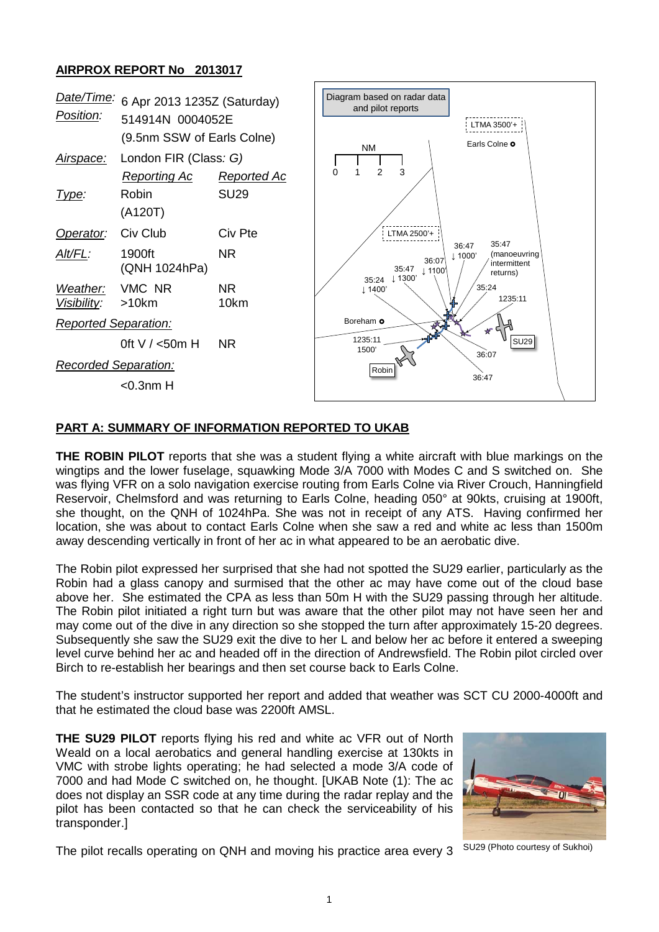## **AIRPROX REPORT No 2013017**



## **PART A: SUMMARY OF INFORMATION REPORTED TO UKAB**

**THE ROBIN PILOT** reports that she was a student flying a white aircraft with blue markings on the wingtips and the lower fuselage, squawking Mode 3/A 7000 with Modes C and S switched on. She was flying VFR on a solo navigation exercise routing from Earls Colne via River Crouch, Hanningfield Reservoir, Chelmsford and was returning to Earls Colne, heading 050° at 90kts, cruising at 1900ft, she thought, on the QNH of 1024hPa. She was not in receipt of any ATS. Having confirmed her location, she was about to contact Earls Colne when she saw a red and white ac less than 1500m away descending vertically in front of her ac in what appeared to be an aerobatic dive.

The Robin pilot expressed her surprised that she had not spotted the SU29 earlier, particularly as the Robin had a glass canopy and surmised that the other ac may have come out of the cloud base above her. She estimated the CPA as less than 50m H with the SU29 passing through her altitude. The Robin pilot initiated a right turn but was aware that the other pilot may not have seen her and may come out of the dive in any direction so she stopped the turn after approximately 15-20 degrees. Subsequently she saw the SU29 exit the dive to her L and below her ac before it entered a sweeping level curve behind her ac and headed off in the direction of Andrewsfield. The Robin pilot circled over Birch to re-establish her bearings and then set course back to Earls Colne.

The student's instructor supported her report and added that weather was SCT CU 2000-4000ft and that he estimated the cloud base was 2200ft AMSL.

**THE SU29 PILOT** reports flying his red and white ac VFR out of North Weald on a local aerobatics and general handling exercise at 130kts in VMC with strobe lights operating; he had selected a mode 3/A code of 7000 and had Mode C switched on, he thought. [UKAB Note (1): The ac does not display an SSR code at any time during the radar replay and the pilot has been contacted so that he can check the serviceability of his transponder.]



The pilot recalls operating on QNH and moving his practice area every 3 SU29 (Photo courtesy of Sukhoi)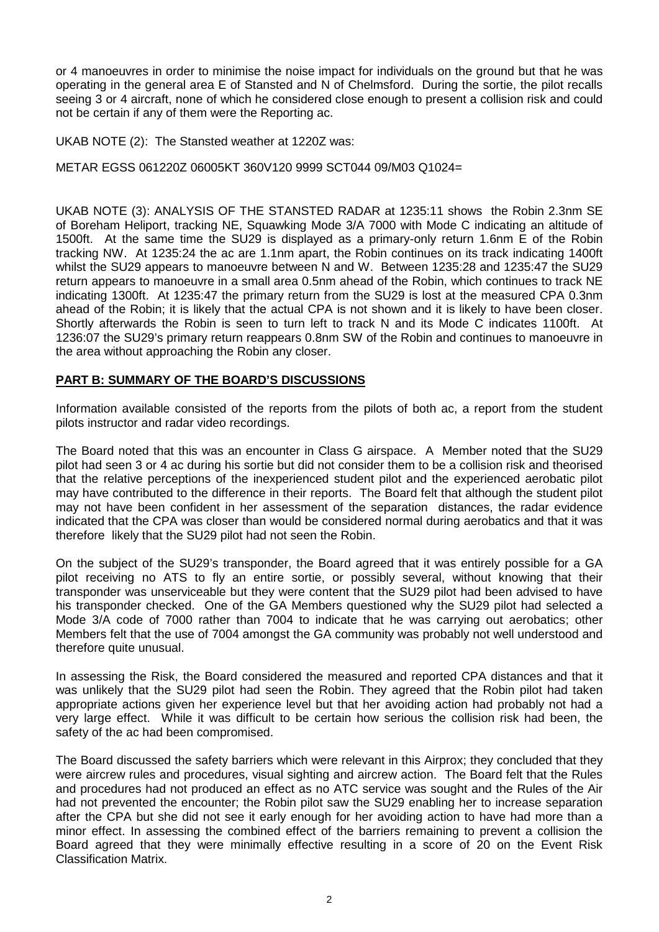or 4 manoeuvres in order to minimise the noise impact for individuals on the ground but that he was operating in the general area E of Stansted and N of Chelmsford. During the sortie, the pilot recalls seeing 3 or 4 aircraft, none of which he considered close enough to present a collision risk and could not be certain if any of them were the Reporting ac.

UKAB NOTE (2): The Stansted weather at 1220Z was:

METAR EGSS 061220Z 06005KT 360V120 9999 SCT044 09/M03 Q1024=

UKAB NOTE (3): ANALYSIS OF THE STANSTED RADAR at 1235:11 shows the Robin 2.3nm SE of Boreham Heliport, tracking NE, Squawking Mode 3/A 7000 with Mode C indicating an altitude of 1500ft. At the same time the SU29 is displayed as a primary-only return 1.6nm E of the Robin tracking NW. At 1235:24 the ac are 1.1nm apart, the Robin continues on its track indicating 1400ft whilst the SU29 appears to manoeuvre between N and W. Between 1235:28 and 1235:47 the SU29 return appears to manoeuvre in a small area 0.5nm ahead of the Robin, which continues to track NE indicating 1300ft. At 1235:47 the primary return from the SU29 is lost at the measured CPA 0.3nm ahead of the Robin; it is likely that the actual CPA is not shown and it is likely to have been closer. Shortly afterwards the Robin is seen to turn left to track N and its Mode C indicates 1100ft. At 1236:07 the SU29's primary return reappears 0.8nm SW of the Robin and continues to manoeuvre in the area without approaching the Robin any closer.

## **PART B: SUMMARY OF THE BOARD'S DISCUSSIONS**

Information available consisted of the reports from the pilots of both ac, a report from the student pilots instructor and radar video recordings.

The Board noted that this was an encounter in Class G airspace. A Member noted that the SU29 pilot had seen 3 or 4 ac during his sortie but did not consider them to be a collision risk and theorised that the relative perceptions of the inexperienced student pilot and the experienced aerobatic pilot may have contributed to the difference in their reports. The Board felt that although the student pilot may not have been confident in her assessment of the separation distances, the radar evidence indicated that the CPA was closer than would be considered normal during aerobatics and that it was therefore likely that the SU29 pilot had not seen the Robin.

On the subject of the SU29's transponder, the Board agreed that it was entirely possible for a GA pilot receiving no ATS to fly an entire sortie, or possibly several, without knowing that their transponder was unserviceable but they were content that the SU29 pilot had been advised to have his transponder checked. One of the GA Members questioned why the SU29 pilot had selected a Mode 3/A code of 7000 rather than 7004 to indicate that he was carrying out aerobatics; other Members felt that the use of 7004 amongst the GA community was probably not well understood and therefore quite unusual.

In assessing the Risk, the Board considered the measured and reported CPA distances and that it was unlikely that the SU29 pilot had seen the Robin. They agreed that the Robin pilot had taken appropriate actions given her experience level but that her avoiding action had probably not had a very large effect. While it was difficult to be certain how serious the collision risk had been, the safety of the ac had been compromised.

The Board discussed the safety barriers which were relevant in this Airprox; they concluded that they were aircrew rules and procedures, visual sighting and aircrew action. The Board felt that the Rules and procedures had not produced an effect as no ATC service was sought and the Rules of the Air had not prevented the encounter; the Robin pilot saw the SU29 enabling her to increase separation after the CPA but she did not see it early enough for her avoiding action to have had more than a minor effect. In assessing the combined effect of the barriers remaining to prevent a collision the Board agreed that they were minimally effective resulting in a score of 20 on the Event Risk Classification Matrix.